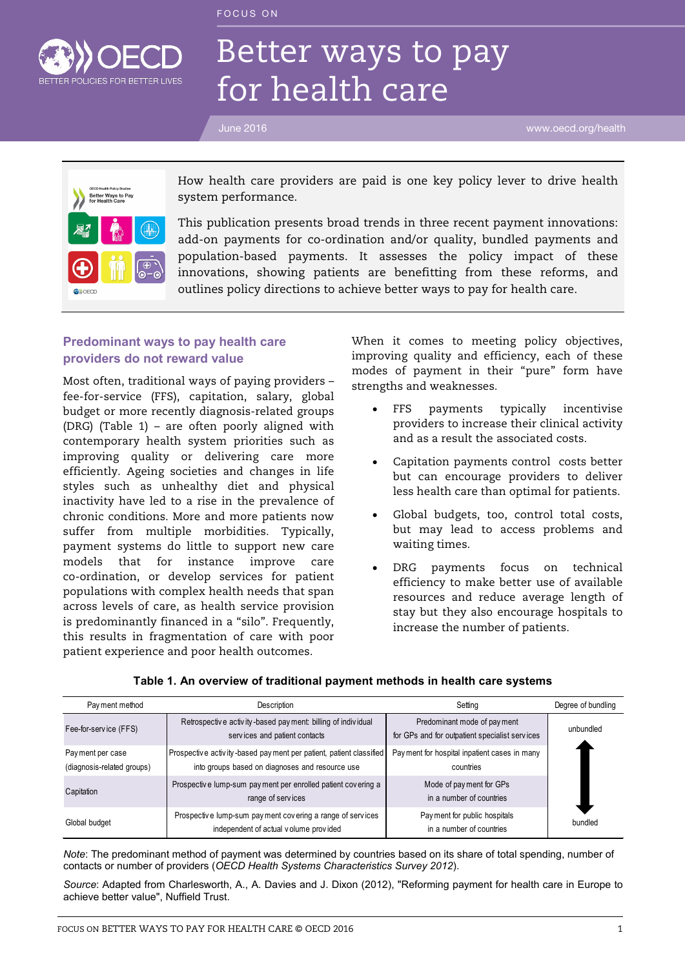FOCUS ON



# Better ways to pay for health care

June 2016 www.oecd.org/health



How health care providers are paid is one key policy lever to drive health system performance.

This publication presents broad trends in three recent payment innovations: add-on payments for co-ordination and/or quality, bundled payments and population-based payments. It assesses the policy impact of these innovations, showing patients are benefitting from these reforms, and outlines policy directions to achieve better ways to pay for health care.

# **Predominant ways to pay health care providers do not reward value**

Most often, traditional ways of paying providers – fee-for-service (FFS), capitation, salary, global budget or more recently diagnosis-related groups (DRG) (Table 1) – are often poorly aligned with contemporary health system priorities such as improving quality or delivering care more efficiently. Ageing societies and changes in life styles such as unhealthy diet and physical inactivity have led to a rise in the prevalence of chronic conditions. More and more patients now suffer from multiple morbidities. Typically, payment systems do little to support new care models that for instance improve care co-ordination, or develop services for patient populations with complex health needs that span across levels of care, as health service provision is predominantly financed in a "silo". Frequently, this results in fragmentation of care with poor patient experience and poor health outcomes.

When it comes to meeting policy objectives, improving quality and efficiency, each of these modes of payment in their "pure" form have strengths and weaknesses.

- FFS payments typically incentivise providers to increase their clinical activity and as a result the associated costs.
- Capitation payments control costs better but can encourage providers to deliver less health care than optimal for patients.
- Global budgets, too, control total costs, but may lead to access problems and waiting times.
- DRG payments focus on technical efficiency to make better use of available resources and reduce average length of stay but they also encourage hospitals to increase the number of patients.

| Pay ment method                                | Description                                                                                                           | Setting                                                                       | Degree of bundling |
|------------------------------------------------|-----------------------------------------------------------------------------------------------------------------------|-------------------------------------------------------------------------------|--------------------|
| Fee-for-service (FFS)                          | Retrospective activity-based payment: billing of individual<br>services and patient contacts                          | Predominant mode of payment<br>for GPs and for outpatient specialist services | unbundled          |
| Payment per case<br>(diagnosis-related groups) | Prospective activity-based payment per patient, patient classified<br>into groups based on diagnoses and resource use | Pay ment for hospital inpatient cases in many<br>countries                    |                    |
| Capitation                                     | Prospective lump-sum payment per enrolled patient covering a<br>range of services                                     | Mode of payment for GPs<br>in a number of countries                           |                    |
| Global budget                                  | Prospective lump-sum payment covering a range of services<br>independent of actual volume provided                    | Pay ment for public hospitals<br>in a number of countries                     | bundled            |

#### **Table 1. An overview of traditional payment methods in health care systems**

*Note*: The predominant method of payment was determined by countries based on its share of total spending, number of contacts or number of providers (*OECD Health Systems Characteristics Survey 2012*).

*Source*: Adapted from Charlesworth, A., A. Davies and J. Dixon (2012), "Reforming payment for health care in Europe to achieve better value", Nuffield Trust.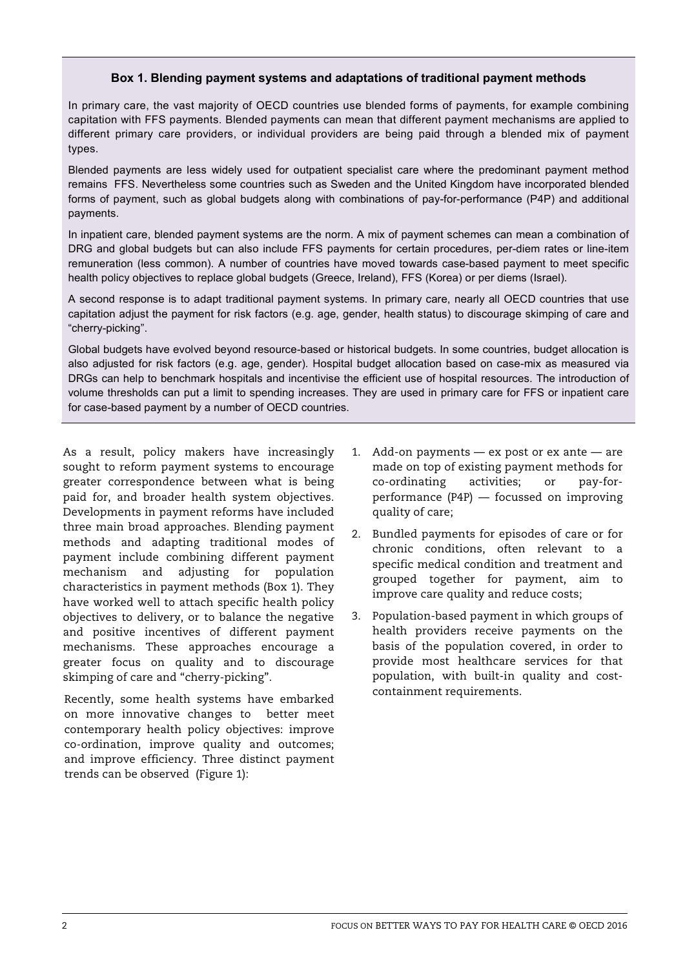# **Box 1. Blending payment systems and adaptations of traditional payment methods**

In primary care, the vast majority of OECD countries use blended forms of payments, for example combining capitation with FFS payments. Blended payments can mean that different payment mechanisms are applied to different primary care providers, or individual providers are being paid through a blended mix of payment types.

Blended payments are less widely used for outpatient specialist care where the predominant payment method remains FFS. Nevertheless some countries such as Sweden and the United Kingdom have incorporated blended forms of payment, such as global budgets along with combinations of pay-for-performance (P4P) and additional payments.

In inpatient care, blended payment systems are the norm. A mix of payment schemes can mean a combination of DRG and global budgets but can also include FFS payments for certain procedures, per-diem rates or line-item remuneration (less common). A number of countries have moved towards case-based payment to meet specific health policy objectives to replace global budgets (Greece, Ireland), FFS (Korea) or per diems (Israel).

A second response is to adapt traditional payment systems. In primary care, nearly all OECD countries that use capitation adjust the payment for risk factors (e.g. age, gender, health status) to discourage skimping of care and "cherry-picking".

Global budgets have evolved beyond resource-based or historical budgets. In some countries, budget allocation is also adjusted for risk factors (e.g. age, gender). Hospital budget allocation based on case-mix as measured via DRGs can help to benchmark hospitals and incentivise the efficient use of hospital resources. The introduction of volume thresholds can put a limit to spending increases. They are used in primary care for FFS or inpatient care for case-based payment by a number of OECD countries.

As a result, policy makers have increasingly sought to reform payment systems to encourage greater correspondence between what is being paid for, and broader health system objectives. Developments in payment reforms have included three main broad approaches. Blending payment methods and adapting traditional modes of payment include combining different payment mechanism and adjusting for population characteristics in payment methods (Box 1). They have worked well to attach specific health policy objectives to delivery, or to balance the negative and positive incentives of different payment mechanisms. These approaches encourage a greater focus on quality and to discourage skimping of care and "cherry-picking".

Recently, some health systems have embarked on more innovative changes to better meet contemporary health policy objectives: improve co-ordination, improve quality and outcomes; and improve efficiency. Three distinct payment trends can be observed (Figure 1):

- 1. Add-on payments ex post or ex ante are made on top of existing payment methods for co-ordinating activities; or pay-forperformance (P4P) — focussed on improving quality of care;
- 2. Bundled payments for episodes of care or for chronic conditions, often relevant to a specific medical condition and treatment and grouped together for payment, aim to improve care quality and reduce costs;
- 3. Population-based payment in which groups of health providers receive payments on the basis of the population covered, in order to provide most healthcare services for that population, with built-in quality and costcontainment requirements.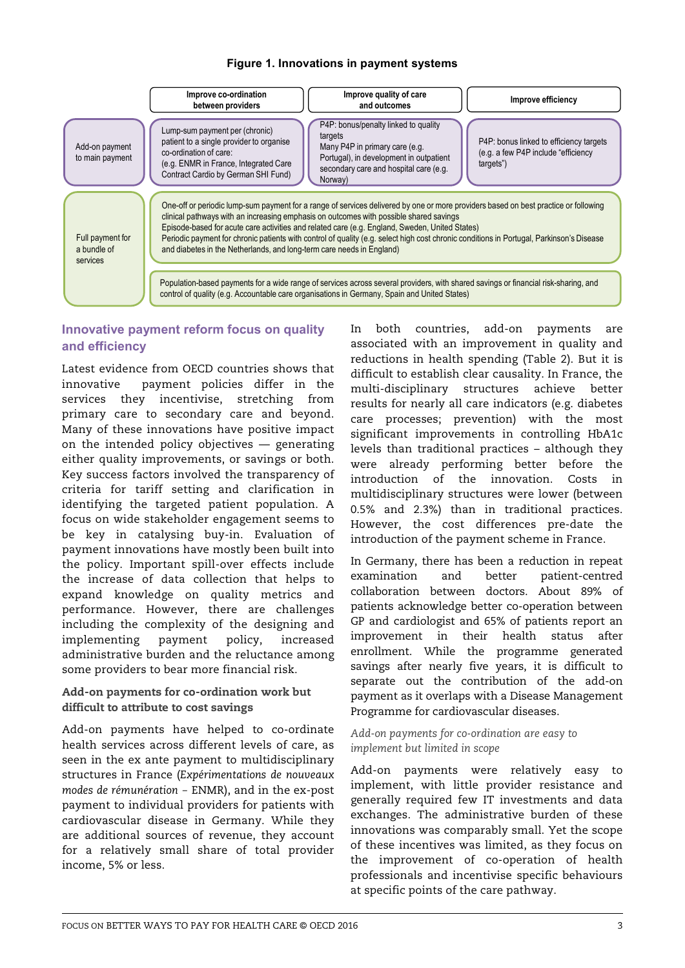## **Figure 1. Innovations in payment systems**



# **Innovative payment reform focus on quality and efficiency**

Latest evidence from OECD countries shows that innovative payment policies differ in the services they incentivise, stretching from primary care to secondary care and beyond. Many of these innovations have positive impact on the intended policy objectives — generating either quality improvements, or savings or both. Key success factors involved the transparency of criteria for tariff setting and clarification in identifying the targeted patient population. A focus on wide stakeholder engagement seems to be key in catalysing buy-in. Evaluation of payment innovations have mostly been built into the policy. Important spill-over effects include the increase of data collection that helps to expand knowledge on quality metrics and performance. However, there are challenges including the complexity of the designing and implementing payment policy, increased administrative burden and the reluctance among some providers to bear more financial risk.

## Add-on payments for co-ordination work but difficult to attribute to cost savings

Add-on payments have helped to co-ordinate health services across different levels of care, as seen in the ex ante payment to multidisciplinary structures in France (*Expérimentations de nouveaux modes de rémunération* - ENMR), and in the ex-post payment to individual providers for patients with cardiovascular disease in Germany. While they are additional sources of revenue, they account for a relatively small share of total provider income, 5% or less.

In both countries, add-on payments are associated with an improvement in quality and reductions in health spending (Table 2). But it is difficult to establish clear causality. In France, the multi-disciplinary structures achieve better results for nearly all care indicators (e.g. diabetes care processes; prevention) with the most significant improvements in controlling HbA1c levels than traditional practices – although they were already performing better before the introduction of the innovation. Costs in multidisciplinary structures were lower (between 0.5% and 2.3%) than in traditional practices. However, the cost differences pre-date the introduction of the payment scheme in France.

In Germany, there has been a reduction in repeat examination and better patient-centred collaboration between doctors. About 89% of patients acknowledge better co-operation between GP and cardiologist and 65% of patients report an improvement in their health status after enrollment. While the programme generated savings after nearly five years, it is difficult to separate out the contribution of the add-on payment as it overlaps with a Disease Management Programme for cardiovascular diseases.

#### *Add-on payments for co-ordination are easy to implement but limited in scope*

Add-on payments were relatively easy to implement, with little provider resistance and generally required few IT investments and data exchanges. The administrative burden of these innovations was comparably small. Yet the scope of these incentives was limited, as they focus on the improvement of co-operation of health professionals and incentivise specific behaviours at specific points of the care pathway.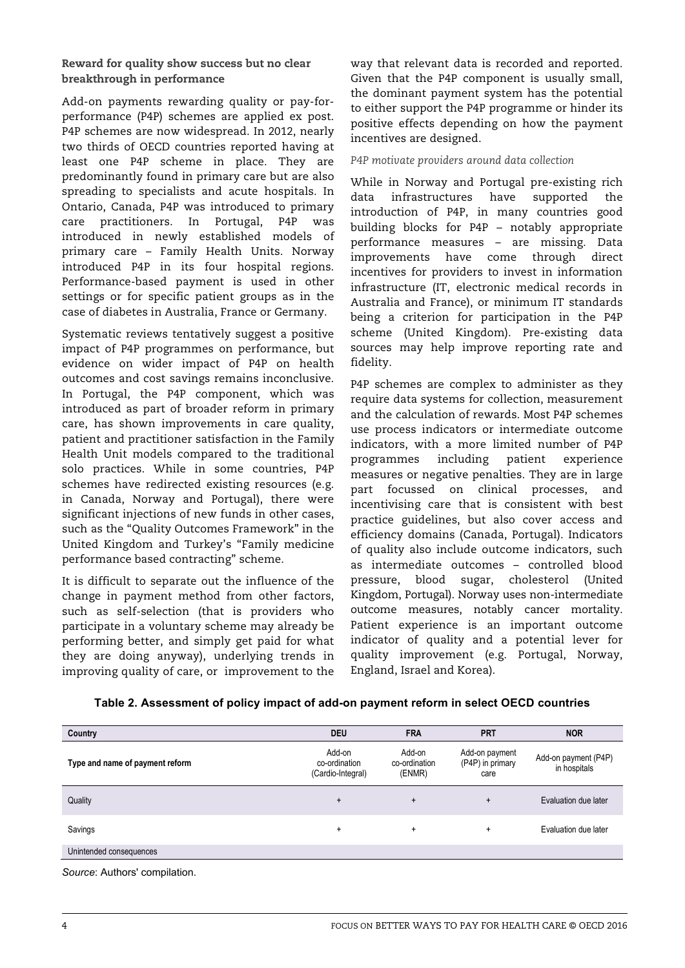# Reward for quality show success but no clear breakthrough in performance

Add-on payments rewarding quality or pay-forperformance (P4P) schemes are applied ex post. P4P schemes are now widespread. In 2012, nearly two thirds of OECD countries reported having at least one P4P scheme in place. They are predominantly found in primary care but are also spreading to specialists and acute hospitals. In Ontario, Canada, P4P was introduced to primary care practitioners. In Portugal, P4P was introduced in newly established models of primary care – Family Health Units. Norway introduced P4P in its four hospital regions. Performance-based payment is used in other settings or for specific patient groups as in the case of diabetes in Australia, France or Germany.

Systematic reviews tentatively suggest a positive impact of P4P programmes on performance, but evidence on wider impact of P4P on health outcomes and cost savings remains inconclusive. In Portugal, the P4P component, which was introduced as part of broader reform in primary care, has shown improvements in care quality, patient and practitioner satisfaction in the Family Health Unit models compared to the traditional solo practices. While in some countries, P4P schemes have redirected existing resources (e.g. in Canada, Norway and Portugal), there were significant injections of new funds in other cases, such as the "Quality Outcomes Framework" in the United Kingdom and Turkey's "Family medicine performance based contracting" scheme.

It is difficult to separate out the influence of the change in payment method from other factors, such as self-selection (that is providers who participate in a voluntary scheme may already be performing better, and simply get paid for what they are doing anyway), underlying trends in improving quality of care, or improvement to the

way that relevant data is recorded and reported. Given that the P4P component is usually small, the dominant payment system has the potential to either support the P4P programme or hinder its positive effects depending on how the payment incentives are designed.

*P4P motivate providers around data collection* 

While in Norway and Portugal pre-existing rich data infrastructures have supported the introduction of P4P, in many countries good building blocks for P4P – notably appropriate performance measures – are missing. Data improvements have come through direct incentives for providers to invest in information infrastructure (IT, electronic medical records in Australia and France), or minimum IT standards being a criterion for participation in the P4P scheme (United Kingdom). Pre-existing data sources may help improve reporting rate and fidelity.

P4P schemes are complex to administer as they require data systems for collection, measurement and the calculation of rewards. Most P4P schemes use process indicators or intermediate outcome indicators, with a more limited number of P4P programmes including patient experience measures or negative penalties. They are in large part focussed on clinical processes, and incentivising care that is consistent with best practice guidelines, but also cover access and efficiency domains (Canada, Portugal). Indicators of quality also include outcome indicators, such as intermediate outcomes – controlled blood pressure, blood sugar, cholesterol (United Kingdom, Portugal). Norway uses non-intermediate outcome measures, notably cancer mortality. Patient experience is an important outcome indicator of quality and a potential lever for quality improvement (e.g. Portugal, Norway, England, Israel and Korea).

|  | Table 2. Assessment of policy impact of add-on payment reform in select OECD countries |
|--|----------------------------------------------------------------------------------------|
|--|----------------------------------------------------------------------------------------|

| Country                         | <b>DEU</b>                                   | <b>FRA</b>                        | <b>PRT</b>                                 | <b>NOR</b>                           |
|---------------------------------|----------------------------------------------|-----------------------------------|--------------------------------------------|--------------------------------------|
| Type and name of payment reform | Add-on<br>co-ordination<br>(Cardio-Integral) | Add-on<br>co-ordination<br>(ENMR) | Add-on payment<br>(P4P) in primary<br>care | Add-on payment (P4P)<br>in hospitals |
| Quality                         | $+$                                          | $\ddot{}$                         | $\ddot{}$                                  | Evaluation due later                 |
| Savings                         | $\ddot{}$                                    | $\ddot{}$                         | $\ddot{}$                                  | Evaluation due later                 |
| Unintended consequences         |                                              |                                   |                                            |                                      |
|                                 |                                              |                                   |                                            |                                      |

*Source*: Authors' compilation.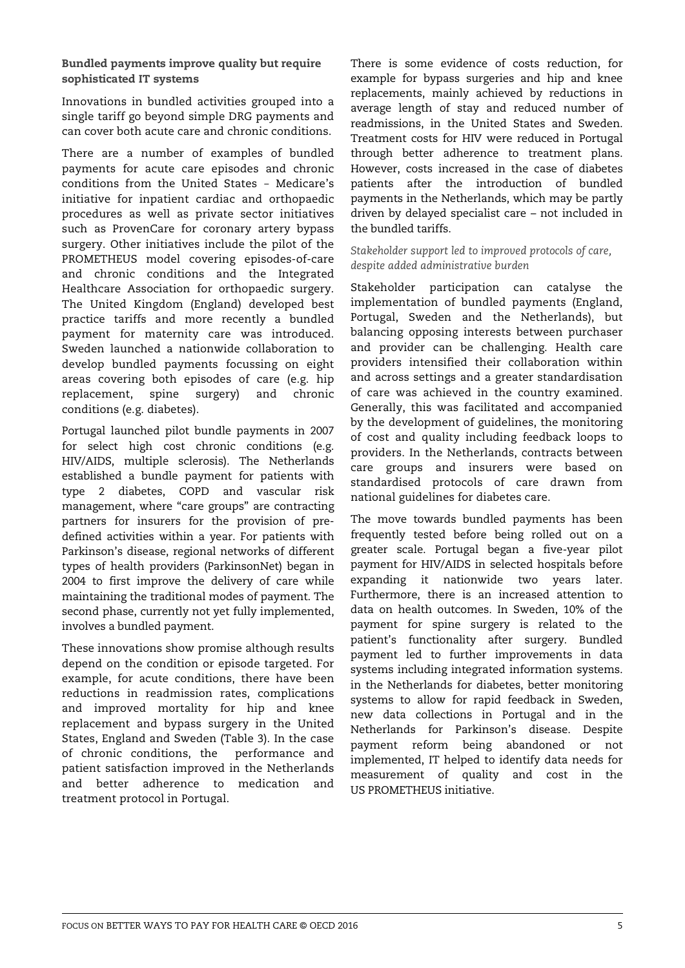# Bundled payments improve quality but require sophisticated IT systems

Innovations in bundled activities grouped into a single tariff go beyond simple DRG payments and can cover both acute care and chronic conditions.

There are a number of examples of bundled payments for acute care episodes and chronic conditions from the United States - Medicare's initiative for inpatient cardiac and orthopaedic procedures as well as private sector initiatives such as ProvenCare for coronary artery bypass surgery. Other initiatives include the pilot of the PROMETHEUS model covering episodes-of-care and chronic conditions and the Integrated Healthcare Association for orthopaedic surgery. The United Kingdom (England) developed best practice tariffs and more recently a bundled payment for maternity care was introduced. Sweden launched a nationwide collaboration to develop bundled payments focussing on eight areas covering both episodes of care (e.g. hip replacement, spine surgery) and chronic conditions (e.g. diabetes).

Portugal launched pilot bundle payments in 2007 for select high cost chronic conditions (e.g. HIV/AIDS, multiple sclerosis). The Netherlands established a bundle payment for patients with type 2 diabetes, COPD and vascular risk management, where "care groups" are contracting partners for insurers for the provision of predefined activities within a year. For patients with Parkinson's disease, regional networks of different types of health providers (ParkinsonNet) began in 2004 to first improve the delivery of care while maintaining the traditional modes of payment. The second phase, currently not yet fully implemented, involves a bundled payment.

These innovations show promise although results depend on the condition or episode targeted. For example, for acute conditions, there have been reductions in readmission rates, complications and improved mortality for hip and knee replacement and bypass surgery in the United States, England and Sweden (Table 3). In the case of chronic conditions, the performance and patient satisfaction improved in the Netherlands and better adherence to medication and treatment protocol in Portugal.

There is some evidence of costs reduction, for example for bypass surgeries and hip and knee replacements, mainly achieved by reductions in average length of stay and reduced number of readmissions, in the United States and Sweden. Treatment costs for HIV were reduced in Portugal through better adherence to treatment plans. However, costs increased in the case of diabetes patients after the introduction of bundled payments in the Netherlands, which may be partly driven by delayed specialist care – not included in the bundled tariffs.

*Stakeholder support led to improved protocols of care, despite added administrative burden*

Stakeholder participation can catalyse the implementation of bundled payments (England, Portugal, Sweden and the Netherlands), but balancing opposing interests between purchaser and provider can be challenging. Health care providers intensified their collaboration within and across settings and a greater standardisation of care was achieved in the country examined. Generally, this was facilitated and accompanied by the development of guidelines, the monitoring of cost and quality including feedback loops to providers. In the Netherlands, contracts between care groups and insurers were based on standardised protocols of care drawn from national guidelines for diabetes care.

The move towards bundled payments has been frequently tested before being rolled out on a greater scale. Portugal began a five-year pilot payment for HIV/AIDS in selected hospitals before expanding it nationwide two years later. Furthermore, there is an increased attention to data on health outcomes. In Sweden, 10% of the payment for spine surgery is related to the patient's functionality after surgery. Bundled payment led to further improvements in data systems including integrated information systems. in the Netherlands for diabetes, better monitoring systems to allow for rapid feedback in Sweden, new data collections in Portugal and in the Netherlands for Parkinson's disease. Despite payment reform being abandoned or not implemented, IT helped to identify data needs for measurement of quality and cost in the US PROMETHEUS initiative.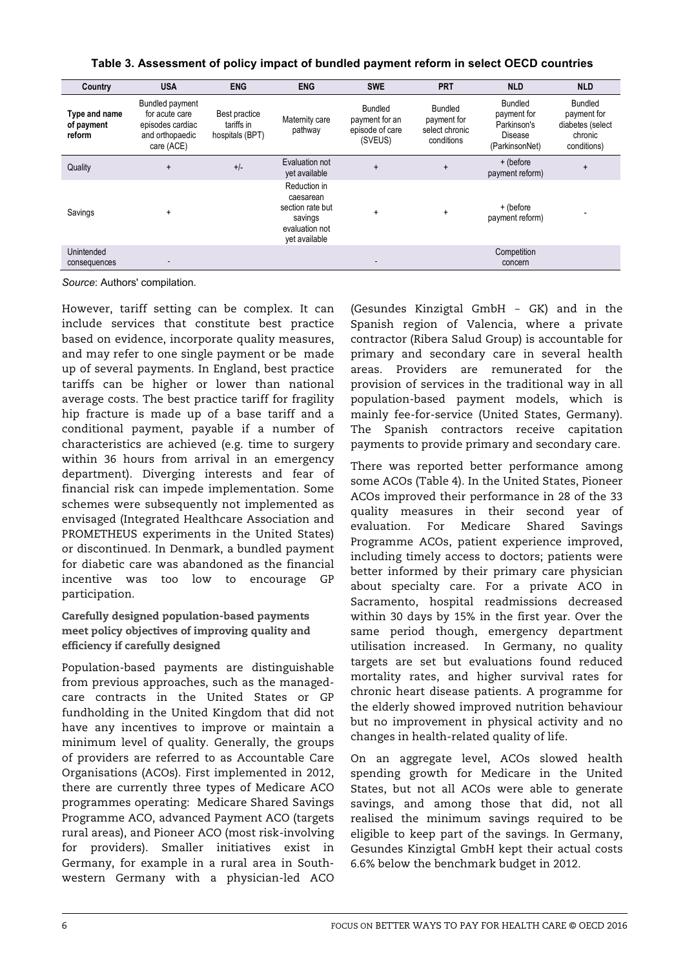| Country                               | <b>USA</b>                                                                                    | <b>ENG</b>                                     | <b>ENG</b>                                                                                  | <b>SWE</b>                                                     | <b>PRT</b>                                                    | <b>NLD</b>                                                                | <b>NLD</b>                                                                  |
|---------------------------------------|-----------------------------------------------------------------------------------------------|------------------------------------------------|---------------------------------------------------------------------------------------------|----------------------------------------------------------------|---------------------------------------------------------------|---------------------------------------------------------------------------|-----------------------------------------------------------------------------|
| Type and name<br>of payment<br>reform | <b>Bundled payment</b><br>for acute care<br>episodes cardiac<br>and orthopaedic<br>care (ACE) | Best practice<br>tariffs in<br>hospitals (BPT) | Maternity care<br>pathway                                                                   | <b>Bundled</b><br>payment for an<br>episode of care<br>(SVEUS) | <b>Bundled</b><br>payment for<br>select chronic<br>conditions | <b>Bundled</b><br>payment for<br>Parkinson's<br>Disease<br>(ParkinsonNet) | <b>Bundled</b><br>payment for<br>diabetes (select<br>chronic<br>conditions) |
| Quality                               | $\ddot{}$                                                                                     | $+/-$                                          | Evaluation not<br>yet available                                                             | $\ddot{}$                                                      | $\ddot{}$                                                     | + (before<br>payment reform)                                              | $\ddot{}$                                                                   |
| Savings                               | $\ddot{}$                                                                                     |                                                | Reduction in<br>caesarean<br>section rate but<br>savings<br>evaluation not<br>yet available | $\ddot{}$                                                      | $\ddot{}$                                                     | + (before<br>payment reform)                                              |                                                                             |
| Unintended<br>consequences            |                                                                                               |                                                |                                                                                             |                                                                |                                                               | Competition<br>concern                                                    |                                                                             |

## **Table 3. Assessment of policy impact of bundled payment reform in select OECD countries**

*Source*: Authors' compilation.

However, tariff setting can be complex. It can include services that constitute best practice based on evidence, incorporate quality measures, and may refer to one single payment or be made up of several payments. In England, best practice tariffs can be higher or lower than national average costs. The best practice tariff for fragility hip fracture is made up of a base tariff and a conditional payment, payable if a number of characteristics are achieved (e.g. time to surgery within 36 hours from arrival in an emergency department). Diverging interests and fear of financial risk can impede implementation. Some schemes were subsequently not implemented as envisaged (Integrated Healthcare Association and PROMETHEUS experiments in the United States) or discontinued. In Denmark, a bundled payment for diabetic care was abandoned as the financial incentive was too low to encourage GP participation.

Carefully designed population-based payments meet policy objectives of improving quality and efficiency if carefully designed

Population-based payments are distinguishable from previous approaches, such as the managedcare contracts in the United States or GP fundholding in the United Kingdom that did not have any incentives to improve or maintain a minimum level of quality. Generally, the groups of providers are referred to as Accountable Care Organisations (ACOs). First implemented in 2012, there are currently three types of Medicare ACO programmes operating: Medicare Shared Savings Programme ACO, advanced Payment ACO (targets rural areas), and Pioneer ACO (most risk-involving for providers). Smaller initiatives exist in Germany, for example in a rural area in Southwestern Germany with a physician-led ACO

(Gesundes Kinzigtal GmbH - GK) and in the Spanish region of Valencia, where a private contractor (Ribera Salud Group) is accountable for primary and secondary care in several health areas. Providers are remunerated for the provision of services in the traditional way in all population-based payment models, which is mainly fee-for-service (United States, Germany). The Spanish contractors receive capitation payments to provide primary and secondary care.

There was reported better performance among some ACOs (Table 4). In the United States, Pioneer ACOs improved their performance in 28 of the 33 quality measures in their second year of evaluation. For Medicare Shared Savings Programme ACOs, patient experience improved, including timely access to doctors; patients were better informed by their primary care physician about specialty care. For a private ACO in Sacramento, hospital readmissions decreased within 30 days by 15% in the first year. Over the same period though, emergency department utilisation increased. In Germany, no quality targets are set but evaluations found reduced mortality rates, and higher survival rates for chronic heart disease patients. A programme for the elderly showed improved nutrition behaviour but no improvement in physical activity and no changes in health-related quality of life.

On an aggregate level, ACOs slowed health spending growth for Medicare in the United States, but not all ACOs were able to generate savings, and among those that did, not all realised the minimum savings required to be eligible to keep part of the savings. In Germany, Gesundes Kinzigtal GmbH kept their actual costs 6.6% below the benchmark budget in 2012.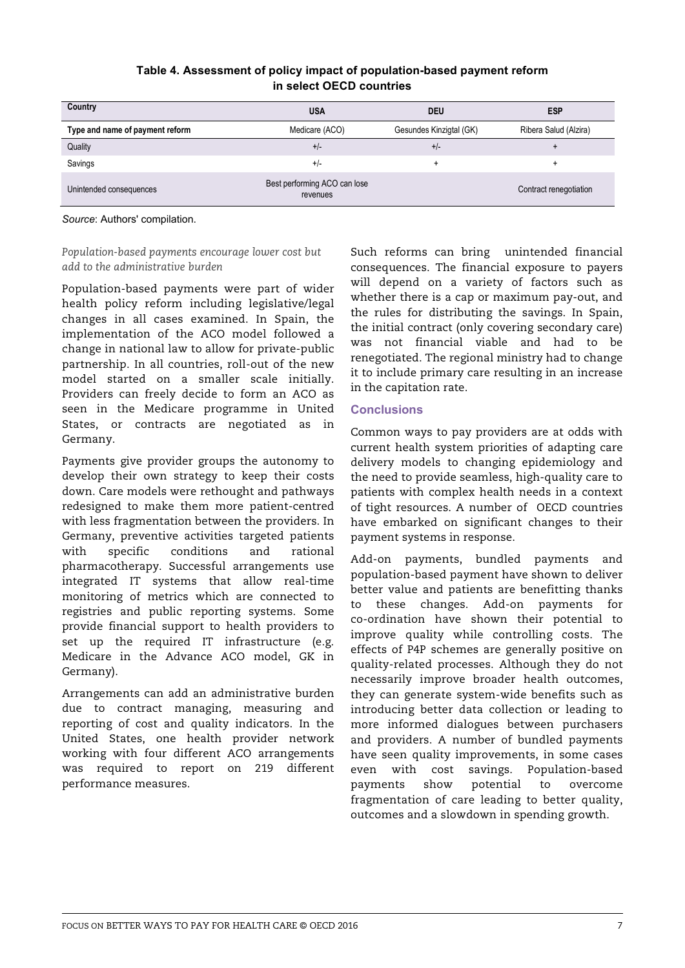# **Table 4. Assessment of policy impact of population-based payment reform in select OECD countries**

| Country                         | <b>USA</b>                               | <b>DEU</b>              | <b>ESP</b>             |
|---------------------------------|------------------------------------------|-------------------------|------------------------|
| Type and name of payment reform | Medicare (ACO)                           | Gesundes Kinzigtal (GK) | Ribera Salud (Alzira)  |
| Quality                         | $+/-$                                    | $+/-$                   |                        |
| Savings                         | $+/-$                                    | ٠                       |                        |
| Unintended consequences         | Best performing ACO can lose<br>revenues |                         | Contract renegotiation |

*Source*: Authors' compilation.

*Population-based payments encourage lower cost but add to the administrative burden*

Population-based payments were part of wider health policy reform including legislative/legal changes in all cases examined. In Spain, the implementation of the ACO model followed a change in national law to allow for private-public partnership. In all countries, roll-out of the new model started on a smaller scale initially. Providers can freely decide to form an ACO as seen in the Medicare programme in United States, or contracts are negotiated as in Germany.

Payments give provider groups the autonomy to develop their own strategy to keep their costs down. Care models were rethought and pathways redesigned to make them more patient-centred with less fragmentation between the providers. In Germany, preventive activities targeted patients with specific conditions and rational pharmacotherapy. Successful arrangements use integrated IT systems that allow real-time monitoring of metrics which are connected to registries and public reporting systems. Some provide financial support to health providers to set up the required IT infrastructure (e.g. Medicare in the Advance ACO model, GK in Germany).

Arrangements can add an administrative burden due to contract managing, measuring and reporting of cost and quality indicators. In the United States, one health provider network working with four different ACO arrangements was required to report on 219 different performance measures.

Such reforms can bring unintended financial consequences. The financial exposure to payers will depend on a variety of factors such as whether there is a cap or maximum pay-out, and the rules for distributing the savings. In Spain, the initial contract (only covering secondary care) was not financial viable and had to be renegotiated. The regional ministry had to change it to include primary care resulting in an increase in the capitation rate.

## **Conclusions**

Common ways to pay providers are at odds with current health system priorities of adapting care delivery models to changing epidemiology and the need to provide seamless, high-quality care to patients with complex health needs in a context of tight resources. A number of OECD countries have embarked on significant changes to their payment systems in response.

Add-on payments, bundled payments and population-based payment have shown to deliver better value and patients are benefitting thanks to these changes. Add-on payments for co-ordination have shown their potential to improve quality while controlling costs. The effects of P4P schemes are generally positive on quality-related processes. Although they do not necessarily improve broader health outcomes, they can generate system-wide benefits such as introducing better data collection or leading to more informed dialogues between purchasers and providers. A number of bundled payments have seen quality improvements, in some cases even with cost savings. Population-based payments show potential to overcome fragmentation of care leading to better quality, outcomes and a slowdown in spending growth.